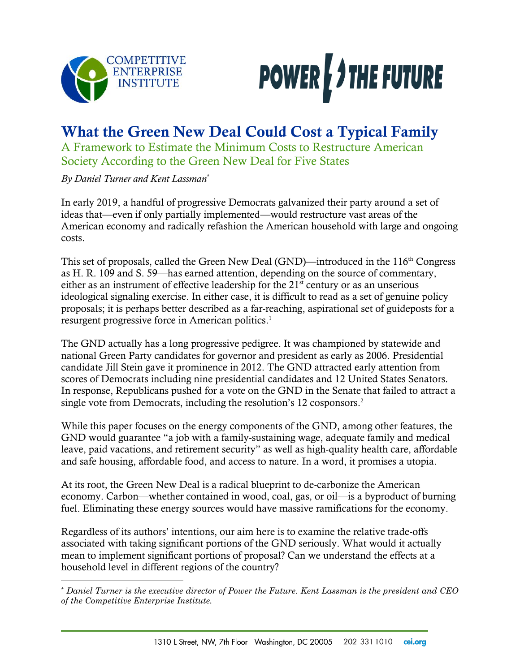



# What the Green New Deal Could Cost a Typical Family

A Framework to Estimate the Minimum Costs to Restructure American Society According to the Green New Deal for Five States

*By Daniel Turner and Kent Lassman*\*

 $\overline{\phantom{a}}$ 

In early 2019, a handful of progressive Democrats galvanized their party around a set of ideas that—even if only partially implemented—would restructure vast areas of the American economy and radically refashion the American household with large and ongoing costs.

This set of proposals, called the Green New Deal (GND)—introduced in the 116<sup>th</sup> Congress as H. R. 109 and S. 59—has earned attention, depending on the source of commentary, either as an instrument of effective leadership for the  $21<sup>st</sup>$  century or as an unserious ideological signaling exercise. In either case, it is difficult to read as a set of genuine policy proposals; it is perhaps better described as a far-reaching, aspirational set of guideposts for a resurgent progressive force in American politics.<sup>1</sup>

The GND actually has a long progressive pedigree. It was championed by statewide and national Green Party candidates for governor and president as early as 2006. Presidential candidate Jill Stein gave it prominence in 2012. The GND attracted early attention from scores of Democrats including nine presidential candidates and 12 United States Senators. In response, Republicans pushed for a vote on the GND in the Senate that failed to attract a single vote from Democrats, including the resolution's 12 cosponsors. 2

While this paper focuses on the energy components of the GND, among other features, the GND would guarantee "a job with a family-sustaining wage, adequate family and medical leave, paid vacations, and retirement security" as well as high-quality health care, affordable and safe housing, affordable food, and access to nature. In a word, it promises a utopia.

At its root, the Green New Deal is a radical blueprint to de-carbonize the American economy. Carbon—whether contained in wood, coal, gas, or oil—is a byproduct of burning fuel. Eliminating these energy sources would have massive ramifications for the economy.

Regardless of its authors' intentions, our aim here is to examine the relative trade-offs associated with taking significant portions of the GND seriously. What would it actually mean to implement significant portions of proposal? Can we understand the effects at a household level in different regions of the country?

<sup>\*</sup> *Daniel Turner is the executive director of Power the Future. Kent Lassman is the president and CEO of the Competitive Enterprise Institute.*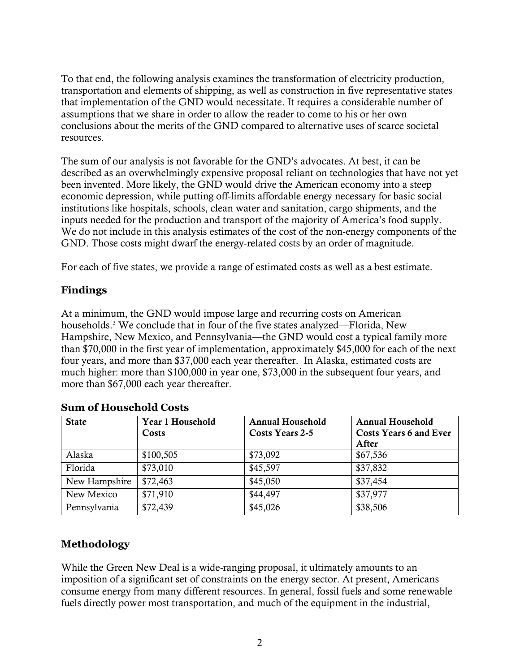To that end, the following analysis examines the transformation of electricity production, transportation and elements of shipping, as well as construction in five representative states that implementation of the GND would necessitate. It requires a considerable number of assumptions that we share in order to allow the reader to come to his or her own conclusions about the merits of the GND compared to alternative uses of scarce societal resources.

The sum of our analysis is not favorable for the GND's advocates. At best, it can be described as an overwhelmingly expensive proposal reliant on technologies that have not yet been invented. More likely, the GND would drive the American economy into a steep economic depression, while putting off-limits affordable energy necessary for basic social institutions like hospitals, schools, clean water and sanitation, cargo shipments, and the inputs needed for the production and transport of the majority of America's food supply. We do not include in this analysis estimates of the cost of the non-energy components of the GND. Those costs might dwarf the energy-related costs by an order of magnitude.

For each of five states, we provide a range of estimated costs as well as a best estimate.

# **Findings**

At a minimum, the GND would impose large and recurring costs on American households.<sup>3</sup> We conclude that in four of the five states analyzed—Florida, New Hampshire, New Mexico, and Pennsylvania—the GND would cost a typical family more than \$70,000 in the first year of implementation, approximately \$45,000 for each of the next four years, and more than \$37,000 each year thereafter. In Alaska, estimated costs are much higher: more than \$100,000 in year one, \$73,000 in the subsequent four years, and more than \$67,000 each year thereafter.

| <b>State</b>  | Year 1 Household<br>Costs | <b>Annual Household</b><br>Costs Years 2-5 | <b>Annual Household</b><br><b>Costs Years 6 and Ever</b><br>After |
|---------------|---------------------------|--------------------------------------------|-------------------------------------------------------------------|
| Alaska        | \$100,505                 | \$73,092                                   | \$67,536                                                          |
| Florida       | \$73,010                  | \$45,597                                   | \$37,832                                                          |
| New Hampshire | \$72,463                  | \$45,050                                   | \$37,454                                                          |
| New Mexico    | \$71,910                  | \$44,497                                   | \$37,977                                                          |
| Pennsylvania  | \$72,439                  | \$45,026                                   | \$38,506                                                          |

# **Sum of Household Costs**

# **Methodology**

While the Green New Deal is a wide-ranging proposal, it ultimately amounts to an imposition of a significant set of constraints on the energy sector. At present, Americans consume energy from many different resources. In general, fossil fuels and some renewable fuels directly power most transportation, and much of the equipment in the industrial,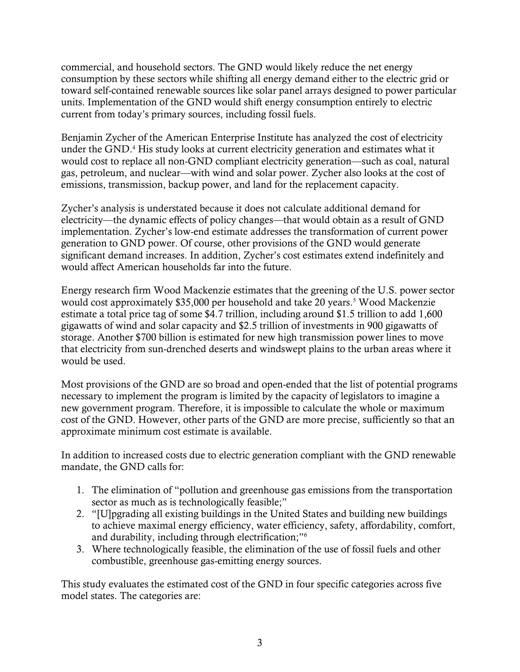commercial, and household sectors. The GND would likely reduce the net energy consumption by these sectors while shifting all energy demand either to the electric grid or toward self-contained renewable sources like solar panel arrays designed to power particular units. Implementation of the GND would shift energy consumption entirely to electric current from today's primary sources, including fossil fuels.

Benjamin Zycher of the American Enterprise Institute has analyzed the cost of electricity under the GND.<sup>4</sup> His study looks at current electricity generation and estimates what it would cost to replace all non-GND compliant electricity generation—such as coal, natural gas, petroleum, and nuclear—with wind and solar power. Zycher also looks at the cost of emissions, transmission, backup power, and land for the replacement capacity.

Zycher's analysis is understated because it does not calculate additional demand for electricity—the dynamic effects of policy changes—that would obtain as a result of GND implementation. Zycher's low-end estimate addresses the transformation of current power generation to GND power. Of course, other provisions of the GND would generate significant demand increases. In addition, Zycher's cost estimates extend indefinitely and would affect American households far into the future.

Energy research firm Wood Mackenzie estimates that the greening of the U.S. power sector would cost approximately \$35,000 per household and take 20 years.<sup>5</sup> Wood Mackenzie estimate a total price tag of some \$4.7 trillion, including around \$1.5 trillion to add 1,600 gigawatts of wind and solar capacity and \$2.5 trillion of investments in 900 gigawatts of storage. Another \$700 billion is estimated for new high transmission power lines to move that electricity from sun-drenched deserts and windswept plains to the urban areas where it would be used.

Most provisions of the GND are so broad and open-ended that the list of potential programs necessary to implement the program is limited by the capacity of legislators to imagine a new government program. Therefore, it is impossible to calculate the whole or maximum cost of the GND. However, other parts of the GND are more precise, sufficiently so that an approximate minimum cost estimate is available.

In addition to increased costs due to electric generation compliant with the GND renewable mandate, the GND calls for:

- 1. The elimination of "pollution and greenhouse gas emissions from the transportation sector as much as is technologically feasible;"
- 2. "[U]pgrading all existing buildings in the United States and building new buildings to achieve maximal energy efficiency, water efficiency, safety, affordability, comfort, and durability, including through electrification;"<sup>6</sup>
- 3. Where technologically feasible, the elimination of the use of fossil fuels and other combustible, greenhouse gas-emitting energy sources.

This study evaluates the estimated cost of the GND in four specific categories across five model states. The categories are: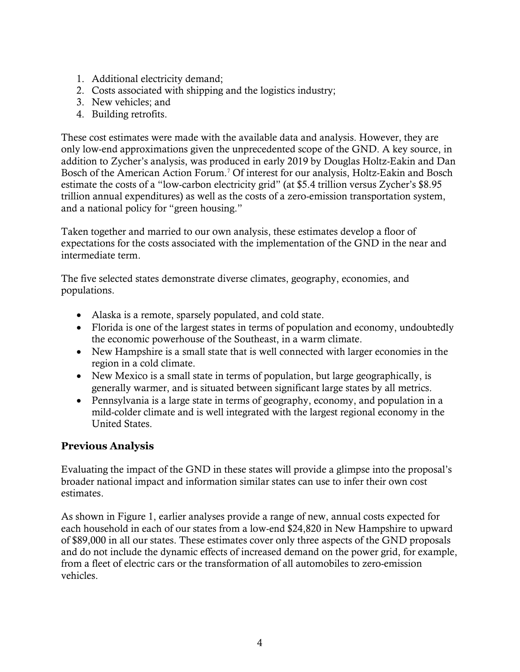- 1. Additional electricity demand;
- 2. Costs associated with shipping and the logistics industry;
- 3. New vehicles; and
- 4. Building retrofits.

These cost estimates were made with the available data and analysis. However, they are only low-end approximations given the unprecedented scope of the GND. A key source, in addition to Zycher's analysis, was produced in early 2019 by Douglas Holtz-Eakin and Dan Bosch of the American Action Forum.<sup>7</sup> Of interest for our analysis, Holtz-Eakin and Bosch estimate the costs of a "low-carbon electricity grid" (at \$5.4 trillion versus Zycher's \$8.95 trillion annual expenditures) as well as the costs of a zero-emission transportation system, and a national policy for "green housing."

Taken together and married to our own analysis, these estimates develop a floor of expectations for the costs associated with the implementation of the GND in the near and intermediate term.

The five selected states demonstrate diverse climates, geography, economies, and populations.

- Alaska is a remote, sparsely populated, and cold state.
- Florida is one of the largest states in terms of population and economy, undoubtedly the economic powerhouse of the Southeast, in a warm climate.
- New Hampshire is a small state that is well connected with larger economies in the region in a cold climate.
- New Mexico is a small state in terms of population, but large geographically, is generally warmer, and is situated between significant large states by all metrics.
- Pennsylvania is a large state in terms of geography, economy, and population in a mild-colder climate and is well integrated with the largest regional economy in the United States.

# **Previous Analysis**

Evaluating the impact of the GND in these states will provide a glimpse into the proposal's broader national impact and information similar states can use to infer their own cost estimates.

As shown in Figure 1, earlier analyses provide a range of new, annual costs expected for each household in each of our states from a low-end \$24,820 in New Hampshire to upward of \$89,000 in all our states. These estimates cover only three aspects of the GND proposals and do not include the dynamic effects of increased demand on the power grid, for example, from a fleet of electric cars or the transformation of all automobiles to zero-emission vehicles.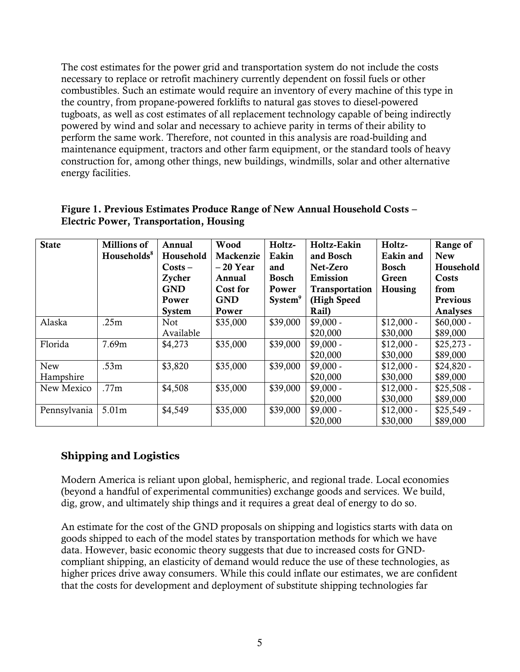The cost estimates for the power grid and transportation system do not include the costs necessary to replace or retrofit machinery currently dependent on fossil fuels or other combustibles. Such an estimate would require an inventory of every machine of this type in the country, from propane-powered forklifts to natural gas stoves to diesel-powered tugboats, as well as cost estimates of all replacement technology capable of being indirectly powered by wind and solar and necessary to achieve parity in terms of their ability to perform the same work. Therefore, not counted in this analysis are road-building and maintenance equipment, tractors and other farm equipment, or the standard tools of heavy construction for, among other things, new buildings, windmills, solar and other alternative energy facilities.

| <b>State</b> | <b>Millions of</b>      | Annual           | Wood       | Holtz-                    | Holtz-Eakin    | Holtz-       | Range of    |
|--------------|-------------------------|------------------|------------|---------------------------|----------------|--------------|-------------|
|              | Households <sup>8</sup> | Household        | Mackenzie  | Eakin                     | and Bosch      | Eakin and    | <b>New</b>  |
|              |                         | $\text{Costs} -$ | $-20$ Year | and                       | Net-Zero       | <b>Bosch</b> | Household   |
|              |                         | Zycher           | Annual     | <b>Bosch</b>              | Emission       | Green        | Costs       |
|              |                         | <b>GND</b>       | Cost for   | Power                     | Transportation | Housing      | from        |
|              |                         | Power            | <b>GND</b> | <b>System<sup>9</sup></b> | (High Speed    |              | Previous    |
|              |                         | <b>System</b>    | Power      |                           | Rail)          |              | Analyses    |
| Alaska       | .25m                    | <b>Not</b>       | \$35,000   | \$39,000                  | $$9,000 -$     | $$12,000 -$  | $$60,000 -$ |
|              |                         | Available        |            |                           | \$20,000       | \$30,000     | \$89,000    |
| Florida      | 7.69m                   | \$4,273          | \$35,000   | \$39,000                  | $$9,000 -$     | $$12,000 -$  | $$25,273$ - |
|              |                         |                  |            |                           | \$20,000       | \$30,000     | \$89,000    |
| New          | .53 <sub>m</sub>        | \$3,820          | \$35,000   | \$39,000                  | $$9,000 -$     | $$12,000 -$  | $$24,820 -$ |
| Hampshire    |                         |                  |            |                           | \$20,000       | \$30,000     | \$89,000    |
| New Mexico   | .77m                    | \$4,508          | \$35,000   | \$39,000                  | $$9,000 -$     | $$12,000 -$  | $$25,508 -$ |
|              |                         |                  |            |                           | \$20,000       | \$30,000     | \$89,000    |
| Pennsylvania | 5.01m                   | \$4,549          | \$35,000   | \$39,000                  | $$9,000 -$     | $$12,000 -$  | $$25,549$ - |
|              |                         |                  |            |                           | \$20,000       | \$30,000     | \$89,000    |

#### Figure 1. Previous Estimates Produce Range of New Annual Household Costs – Electric Power, Transportation, Housing

# **Shipping and Logistics**

Modern America is reliant upon global, hemispheric, and regional trade. Local economies (beyond a handful of experimental communities) exchange goods and services. We build, dig, grow, and ultimately ship things and it requires a great deal of energy to do so.

An estimate for the cost of the GND proposals on shipping and logistics starts with data on goods shipped to each of the model states by transportation methods for which we have data. However, basic economic theory suggests that due to increased costs for GNDcompliant shipping, an elasticity of demand would reduce the use of these technologies, as higher prices drive away consumers. While this could inflate our estimates, we are confident that the costs for development and deployment of substitute shipping technologies far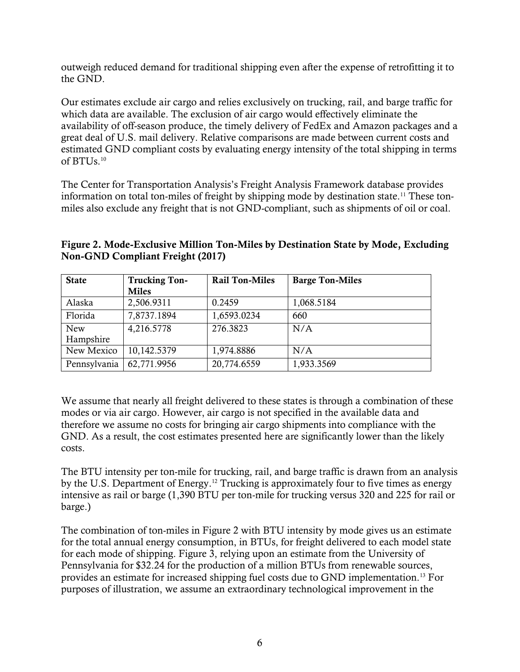outweigh reduced demand for traditional shipping even after the expense of retrofitting it to the GND.

Our estimates exclude air cargo and relies exclusively on trucking, rail, and barge traffic for which data are available. The exclusion of air cargo would effectively eliminate the availability of off-season produce, the timely delivery of FedEx and Amazon packages and a great deal of U.S. mail delivery. Relative comparisons are made between current costs and estimated GND compliant costs by evaluating energy intensity of the total shipping in terms of BTUs. $10$ 

The Center for Transportation Analysis's Freight Analysis Framework database provides information on total ton-miles of freight by shipping mode by destination state.<sup>11</sup> These tonmiles also exclude any freight that is not GND-compliant, such as shipments of oil or coal.

| <b>State</b> | <b>Trucking Ton-</b> | <b>Rail Ton-Miles</b> | <b>Barge Ton-Miles</b> |
|--------------|----------------------|-----------------------|------------------------|
|              | <b>Miles</b>         |                       |                        |
| Alaska       | 2,506.9311           | 0.2459                | 1,068.5184             |
| Florida      | 7,8737.1894          | 1,6593.0234           | 660                    |
| <b>New</b>   | 4,216.5778           | 276.3823              | N/A                    |
| Hampshire    |                      |                       |                        |
| New Mexico   | 10,142.5379          | 1,974.8886            | N/A                    |
| Pennsylvania | 62,771.9956          | 20,774.6559           | 1,933.3569             |

Figure 2. Mode-Exclusive Million Ton-Miles by Destination State by Mode, Excluding Non-GND Compliant Freight (2017)

We assume that nearly all freight delivered to these states is through a combination of these modes or via air cargo. However, air cargo is not specified in the available data and therefore we assume no costs for bringing air cargo shipments into compliance with the GND. As a result, the cost estimates presented here are significantly lower than the likely costs.

The BTU intensity per ton-mile for trucking, rail, and barge traffic is drawn from an analysis by the U.S. Department of Energy.<sup>12</sup> Trucking is approximately four to five times as energy intensive as rail or barge (1,390 BTU per ton-mile for trucking versus 320 and 225 for rail or barge.)

The combination of ton-miles in Figure 2 with BTU intensity by mode gives us an estimate for the total annual energy consumption, in BTUs, for freight delivered to each model state for each mode of shipping. Figure 3, relying upon an estimate from the University of Pennsylvania for \$32.24 for the production of a million BTUs from renewable sources, provides an estimate for increased shipping fuel costs due to GND implementation.<sup>13</sup> For purposes of illustration, we assume an extraordinary technological improvement in the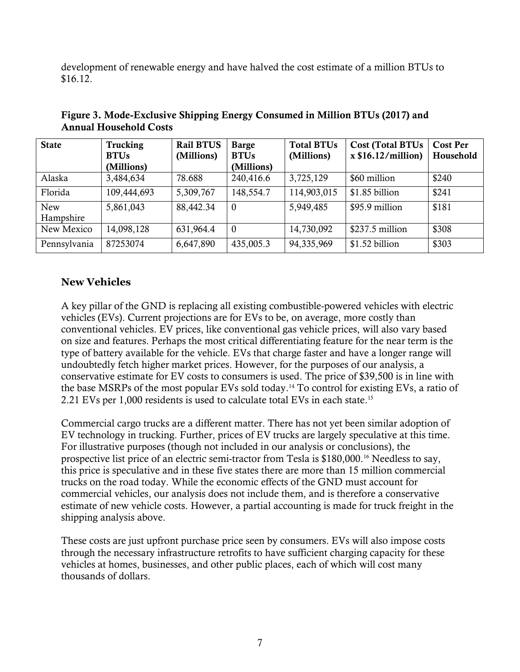development of renewable energy and have halved the cost estimate of a million BTUs to \$16.12.

| <b>State</b>            | Trucking<br><b>BTUs</b> | <b>Rail BTUS</b><br>(Millions) | <b>Barge</b><br><b>BTUs</b> | <b>Total BTUs</b><br>(Millions) | <b>Cost (Total BTUs)</b><br>x \$16.12/million) | <b>Cost Per</b><br>Household |
|-------------------------|-------------------------|--------------------------------|-----------------------------|---------------------------------|------------------------------------------------|------------------------------|
|                         | (Millions)              |                                | (Millions)                  |                                 |                                                |                              |
| Alaska                  | 3,484,634               | 78.688                         | 240,416.6                   | 3,725,129                       | \$60 million                                   | \$240                        |
| Florida                 | 109,444,693             | 5,309,767                      | 148,554.7                   | 114,903,015                     | \$1.85 billion                                 | \$241                        |
| <b>New</b><br>Hampshire | 5,861,043               | 88,442.34                      | $\boldsymbol{0}$            | 5,949,485                       | \$95.9 million                                 | \$181                        |
| New Mexico              | 14,098,128              | 631,964.4                      | $\boldsymbol{0}$            | 14,730,092                      | \$237.5 million                                | \$308                        |
| Pennsylvania            | 87253074                | 6,647,890                      | 435,005.3                   | 94,335,969                      | \$1.52 billion                                 | \$303                        |

Figure 3. Mode-Exclusive Shipping Energy Consumed in Million BTUs (2017) and Annual Household Costs

# **New Vehicles**

A key pillar of the GND is replacing all existing combustible-powered vehicles with electric vehicles (EVs). Current projections are for EVs to be, on average, more costly than conventional vehicles. EV prices, like conventional gas vehicle prices, will also vary based on size and features. Perhaps the most critical differentiating feature for the near term is the type of battery available for the vehicle. EVs that charge faster and have a longer range will undoubtedly fetch higher market prices. However, for the purposes of our analysis, a conservative estimate for EV costs to consumers is used. The price of \$39,500 is in line with the base MSRPs of the most popular EVs sold today.<sup>14</sup> To control for existing EVs, a ratio of 2.21 EVs per 1,000 residents is used to calculate total EVs in each state.<sup>15</sup>

Commercial cargo trucks are a different matter. There has not yet been similar adoption of EV technology in trucking. Further, prices of EV trucks are largely speculative at this time. For illustrative purposes (though not included in our analysis or conclusions), the prospective list price of an electric semi-tractor from Tesla is \$180,000.<sup>16</sup> Needless to say, this price is speculative and in these five states there are more than 15 million commercial trucks on the road today. While the economic effects of the GND must account for commercial vehicles, our analysis does not include them, and is therefore a conservative estimate of new vehicle costs. However, a partial accounting is made for truck freight in the shipping analysis above.

These costs are just upfront purchase price seen by consumers. EVs will also impose costs through the necessary infrastructure retrofits to have sufficient charging capacity for these vehicles at homes, businesses, and other public places, each of which will cost many thousands of dollars.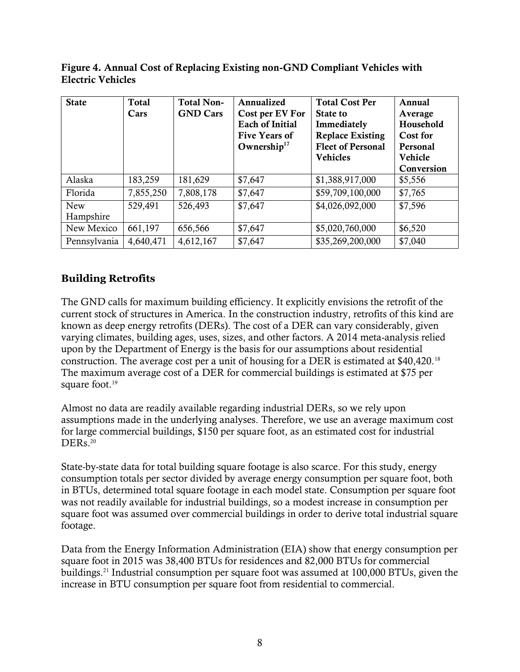Figure 4. Annual Cost of Replacing Existing non-GND Compliant Vehicles with Electric Vehicles

| <b>State</b>            | <b>Total</b><br>Cars | <b>Total Non-</b><br><b>GND Cars</b> | Annualized<br>Cost per EV For<br><b>Each of Initial</b><br><b>Five Years of</b><br>Ownership $17$ | <b>Total Cost Per</b><br>State to<br>Immediately<br><b>Replace Existing</b><br><b>Fleet of Personal</b><br><b>Vehicles</b> | Annual<br>Average<br>Household<br><b>Cost for</b><br>Personal<br>Vehicle<br>Conversion |
|-------------------------|----------------------|--------------------------------------|---------------------------------------------------------------------------------------------------|----------------------------------------------------------------------------------------------------------------------------|----------------------------------------------------------------------------------------|
| Alaska                  | 183,259              | 181,629                              | \$7,647                                                                                           | \$1,388,917,000                                                                                                            | \$5,556                                                                                |
| Florida                 | 7,855,250            | 7,808,178                            | \$7,647                                                                                           | \$59,709,100,000                                                                                                           | \$7,765                                                                                |
| <b>New</b><br>Hampshire | 529,491              | 526,493                              | \$7,647                                                                                           | \$4,026,092,000                                                                                                            | \$7,596                                                                                |
| New Mexico              | 661,197              | 656,566                              | \$7,647                                                                                           | \$5,020,760,000                                                                                                            | \$6,520                                                                                |
| Pennsylvania            | 4,640,471            | 4,612,167                            | \$7,647                                                                                           | \$35,269,200,000                                                                                                           | \$7,040                                                                                |

# **Building Retrofits**

The GND calls for maximum building efficiency. It explicitly envisions the retrofit of the current stock of structures in America. In the construction industry, retrofits of this kind are known as deep energy retrofits (DERs). The cost of a DER can vary considerably, given varying climates, building ages, uses, sizes, and other factors. A 2014 meta-analysis relied upon by the Department of Energy is the basis for our assumptions about residential construction. The average cost per a unit of housing for a DER is estimated at \$40,420.<sup>18</sup> The maximum average cost of a DER for commercial buildings is estimated at \$75 per square foot.<sup>19</sup>

Almost no data are readily available regarding industrial DERs, so we rely upon assumptions made in the underlying analyses. Therefore, we use an average maximum cost for large commercial buildings, \$150 per square foot, as an estimated cost for industrial DERs.<sup>20</sup>

State-by-state data for total building square footage is also scarce. For this study, energy consumption totals per sector divided by average energy consumption per square foot, both in BTUs, determined total square footage in each model state. Consumption per square foot was not readily available for industrial buildings, so a modest increase in consumption per square foot was assumed over commercial buildings in order to derive total industrial square footage.

Data from the Energy Information Administration (EIA) show that energy consumption per square foot in 2015 was 38,400 BTUs for residences and 82,000 BTUs for commercial buildings.<sup>21</sup> Industrial consumption per square foot was assumed at 100,000 BTUs, given the increase in BTU consumption per square foot from residential to commercial.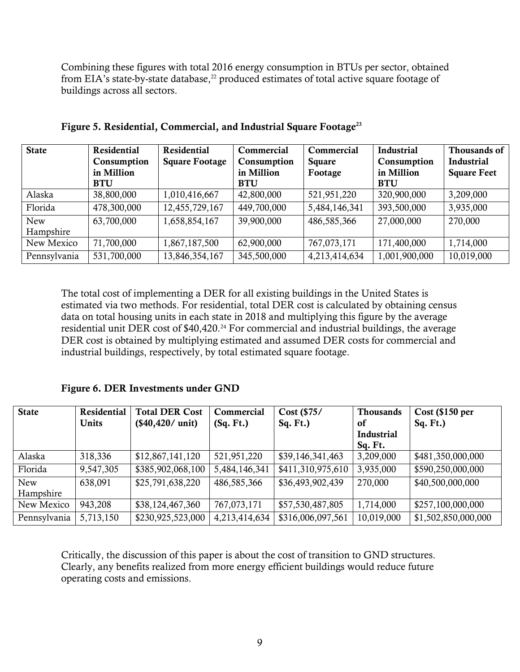Combining these figures with total 2016 energy consumption in BTUs per sector, obtained from EIA's state-by-state database,<sup>22</sup> produced estimates of total active square footage of buildings across all sectors.

| <b>State</b> | Residential<br>Consumption<br>in Million<br><b>BTU</b> | <b>Residential</b><br><b>Square Footage</b> | Commercial<br>Consumption<br>in Million<br><b>BTU</b> | Commercial<br>Square<br>Footage | <b>Industrial</b><br>Consumption<br>in Million<br><b>BTU</b> | Thousands of<br><b>Industrial</b><br><b>Square Feet</b> |
|--------------|--------------------------------------------------------|---------------------------------------------|-------------------------------------------------------|---------------------------------|--------------------------------------------------------------|---------------------------------------------------------|
| Alaska       | 38,800,000                                             | 1,010,416,667                               | 42,800,000                                            | 521,951,220                     | 320,900,000                                                  | 3,209,000                                               |
| Florida      | 478,300,000                                            | 12,455,729,167                              | 449,700,000                                           | 5,484,146,341                   | 393,500,000                                                  | 3,935,000                                               |
| <b>New</b>   | 63,700,000                                             | 1,658,854,167                               | 39,900,000                                            | 486,585,366                     | 27,000,000                                                   | 270,000                                                 |
| Hampshire    |                                                        |                                             |                                                       |                                 |                                                              |                                                         |
| New Mexico   | 71,700,000                                             | 1,867,187,500                               | 62,900,000                                            | 767,073,171                     | 171,400,000                                                  | 1,714,000                                               |
| Pennsylvania | 531,700,000                                            | 13,846,354,167                              | 345,500,000                                           | 4,213,414,634                   | 1,001,900,000                                                | 10,019,000                                              |

Figure 5. Residential, Commercial, and Industrial Square Footage<sup>23</sup>

The total cost of implementing a DER for all existing buildings in the United States is estimated via two methods. For residential, total DER cost is calculated by obtaining census data on total housing units in each state in 2018 and multiplying this figure by the average residential unit DER cost of \$40,420.<sup>24</sup> For commercial and industrial buildings, the average DER cost is obtained by multiplying estimated and assumed DER costs for commercial and industrial buildings, respectively, by total estimated square footage.

Figure 6. DER Investments under GND

| <b>State</b> | Residential | <b>Total DER Cost</b> | Commercial    | Cost (\$75/       | <b>Thousands</b> | $Cost$ (\$150 per   |
|--------------|-------------|-----------------------|---------------|-------------------|------------------|---------------------|
|              | Units       | $($40,420/$ unit)     | (Sq. Ft.)     | Sq. Ft.           | of               | Sq. Ft.             |
|              |             |                       |               |                   | Industrial       |                     |
|              |             |                       |               |                   | Sq. Ft.          |                     |
| Alaska       | 318,336     | \$12,867,141,120      | 521,951,220   | \$39,146,341,463  | 3,209,000        | \$481,350,000,000   |
| Florida      | 9,547,305   | \$385,902,068,100     | 5,484,146,341 | \$411,310,975,610 | 3,935,000        | \$590,250,000,000   |
| <b>New</b>   | 638,091     | \$25,791,638,220      | 486,585,366   | \$36,493,902,439  | 270,000          | \$40,500,000,000    |
| Hampshire    |             |                       |               |                   |                  |                     |
| New Mexico   | 943,208     | \$38,124,467,360      | 767,073,171   | \$57,530,487,805  | 1,714,000        | \$257,100,000,000   |
| Pennsylvania | 5,713,150   | \$230,925,523,000     | 4,213,414,634 | \$316,006,097,561 | 10,019,000       | \$1,502,850,000,000 |

Critically, the discussion of this paper is about the cost of transition to GND structures. Clearly, any benefits realized from more energy efficient buildings would reduce future operating costs and emissions.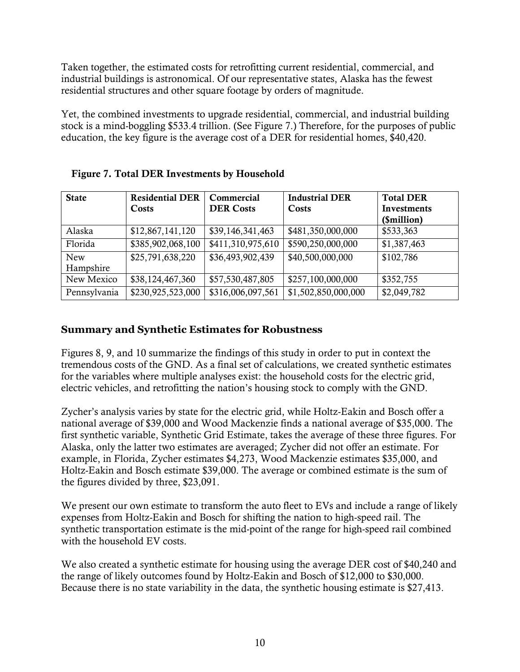Taken together, the estimated costs for retrofitting current residential, commercial, and industrial buildings is astronomical. Of our representative states, Alaska has the fewest residential structures and other square footage by orders of magnitude.

Yet, the combined investments to upgrade residential, commercial, and industrial building stock is a mind-boggling \$533.4 trillion. (See Figure 7.) Therefore, for the purposes of public education, the key figure is the average cost of a DER for residential homes, \$40,420.

| <b>State</b>            | <b>Residential DER</b><br>Costs | Commercial<br><b>DER Costs</b> | <b>Industrial DER</b><br>Costs | <b>Total DER</b><br><b>Investments</b><br>(\$million) |
|-------------------------|---------------------------------|--------------------------------|--------------------------------|-------------------------------------------------------|
| Alaska                  | \$12,867,141,120                | \$39,146,341,463               | \$481,350,000,000              | \$533,363                                             |
| Florida                 | \$385,902,068,100               | \$411,310,975,610              | \$590,250,000,000              | \$1,387,463                                           |
| <b>New</b><br>Hampshire | \$25,791,638,220                | \$36,493,902,439               | \$40,500,000,000               | \$102,786                                             |
| New Mexico              | \$38,124,467,360                | \$57,530,487,805               | \$257,100,000,000              | \$352,755                                             |
| Pennsylvania            | \$230,925,523,000               | \$316,006,097,561              | \$1,502,850,000,000            | \$2,049,782                                           |

# Figure 7. Total DER Investments by Household

# **Summary and Synthetic Estimates for Robustness**

Figures 8, 9, and 10 summarize the findings of this study in order to put in context the tremendous costs of the GND. As a final set of calculations, we created synthetic estimates for the variables where multiple analyses exist: the household costs for the electric grid, electric vehicles, and retrofitting the nation's housing stock to comply with the GND.

Zycher's analysis varies by state for the electric grid, while Holtz-Eakin and Bosch offer a national average of \$39,000 and Wood Mackenzie finds a national average of \$35,000. The first synthetic variable, Synthetic Grid Estimate, takes the average of these three figures. For Alaska, only the latter two estimates are averaged; Zycher did not offer an estimate. For example, in Florida, Zycher estimates \$4,273, Wood Mackenzie estimates \$35,000, and Holtz-Eakin and Bosch estimate \$39,000. The average or combined estimate is the sum of the figures divided by three, \$23,091.

We present our own estimate to transform the auto fleet to EVs and include a range of likely expenses from Holtz-Eakin and Bosch for shifting the nation to high-speed rail. The synthetic transportation estimate is the mid-point of the range for high-speed rail combined with the household EV costs.

We also created a synthetic estimate for housing using the average DER cost of \$40,240 and the range of likely outcomes found by Holtz-Eakin and Bosch of \$12,000 to \$30,000. Because there is no state variability in the data, the synthetic housing estimate is \$27,413.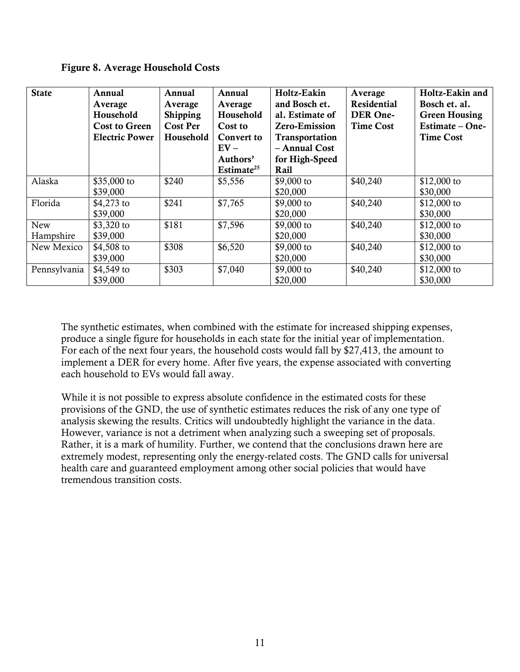Figure 8. Average Household Costs

| <b>State</b> | Annual<br>Average<br>Household<br><b>Cost to Green</b> | Annual<br>Average<br><b>Shipping</b><br><b>Cost Per</b> | Annual<br>Average<br>Household<br>Cost to | Holtz-Eakin<br>and Bosch et.<br>al. Estimate of<br><b>Zero-Emission</b> | Average<br><b>Residential</b><br>DER One-<br><b>Time Cost</b> | Holtz-Eakin and<br>Bosch et. al.<br><b>Green Housing</b><br>Estimate - One- |
|--------------|--------------------------------------------------------|---------------------------------------------------------|-------------------------------------------|-------------------------------------------------------------------------|---------------------------------------------------------------|-----------------------------------------------------------------------------|
|              | <b>Electric Power</b>                                  | Household                                               | <b>Convert to</b><br>$EV -$               | Transportation<br>- Annual Cost                                         |                                                               | <b>Time Cost</b>                                                            |
|              |                                                        |                                                         | Authors'                                  | for High-Speed                                                          |                                                               |                                                                             |
|              |                                                        |                                                         | Estimate <sup>25</sup>                    | Rail                                                                    |                                                               |                                                                             |
| Alaska       | \$35,000 to                                            | \$240                                                   | \$5,556                                   | \$9,000 to                                                              | \$40,240                                                      | \$12,000 to                                                                 |
|              | \$39,000                                               |                                                         |                                           | \$20,000                                                                |                                                               | \$30,000                                                                    |
| Florida      | \$4,273 to                                             | \$241                                                   | \$7,765                                   | \$9,000 to                                                              | \$40,240                                                      | \$12,000 to                                                                 |
|              | \$39,000                                               |                                                         |                                           | \$20,000                                                                |                                                               | \$30,000                                                                    |
| New          | \$3,320 to                                             | \$181                                                   | \$7,596                                   | \$9,000 to                                                              | \$40,240                                                      | \$12,000 to                                                                 |
| Hampshire    | \$39,000                                               |                                                         |                                           | \$20,000                                                                |                                                               | \$30,000                                                                    |
| New Mexico   | \$4,508 to                                             | \$308                                                   | \$6,520                                   | \$9,000 to                                                              | \$40,240                                                      | \$12,000 to                                                                 |
|              | \$39,000                                               |                                                         |                                           | \$20,000                                                                |                                                               | \$30,000                                                                    |
| Pennsylvania | \$4,549 to                                             | \$303                                                   | \$7,040                                   | \$9,000 to                                                              | \$40,240                                                      | $$12,000$ to                                                                |
|              | \$39,000                                               |                                                         |                                           | \$20,000                                                                |                                                               | \$30,000                                                                    |

The synthetic estimates, when combined with the estimate for increased shipping expenses, produce a single figure for households in each state for the initial year of implementation. For each of the next four years, the household costs would fall by \$27,413, the amount to implement a DER for every home. After five years, the expense associated with converting each household to EVs would fall away.

While it is not possible to express absolute confidence in the estimated costs for these provisions of the GND, the use of synthetic estimates reduces the risk of any one type of analysis skewing the results. Critics will undoubtedly highlight the variance in the data. However, variance is not a detriment when analyzing such a sweeping set of proposals. Rather, it is a mark of humility. Further, we contend that the conclusions drawn here are extremely modest, representing only the energy-related costs. The GND calls for universal health care and guaranteed employment among other social policies that would have tremendous transition costs.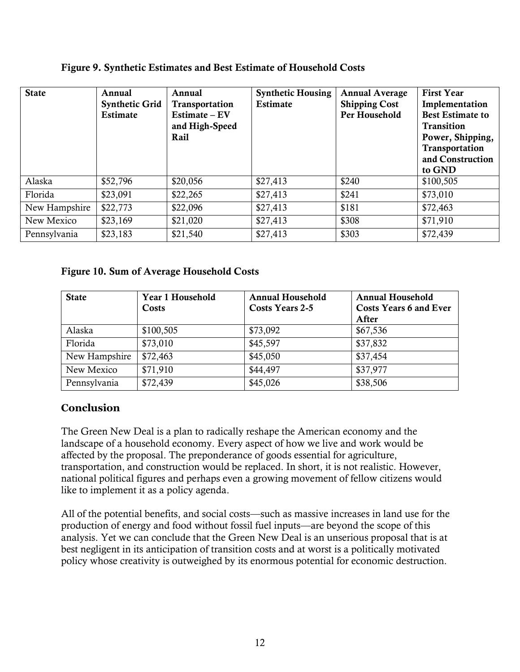| <b>State</b>  | Annual<br><b>Synthetic Grid</b><br><b>Estimate</b> | Annual<br>Transportation<br>Estimate – EV<br>and High-Speed<br>Rail | <b>Synthetic Housing</b><br><b>Estimate</b> | <b>Annual Average</b><br><b>Shipping Cost</b><br>Per Household | <b>First Year</b><br>Implementation<br><b>Best Estimate to</b><br><b>Transition</b><br>Power, Shipping,<br>Transportation<br>and Construction<br>to GND |
|---------------|----------------------------------------------------|---------------------------------------------------------------------|---------------------------------------------|----------------------------------------------------------------|---------------------------------------------------------------------------------------------------------------------------------------------------------|
| Alaska        | \$52,796                                           | \$20,056                                                            | \$27,413                                    | \$240                                                          | \$100,505                                                                                                                                               |
| Florida       | \$23,091                                           | \$22,265                                                            | \$27,413                                    | \$241                                                          | \$73,010                                                                                                                                                |
| New Hampshire | \$22,773                                           | \$22,096                                                            | \$27,413                                    | \$181                                                          | \$72,463                                                                                                                                                |
| New Mexico    | \$23,169                                           | \$21,020                                                            | \$27,413                                    | \$308                                                          | \$71,910                                                                                                                                                |
| Pennsylvania  | \$23,183                                           | \$21,540                                                            | \$27,413                                    | \$303                                                          | \$72,439                                                                                                                                                |

#### Figure 9. Synthetic Estimates and Best Estimate of Household Costs

#### Figure 10. Sum of Average Household Costs

| <b>State</b>  | Year 1 Household<br>Costs | <b>Annual Household</b><br>Costs Years 2-5 | <b>Annual Household</b><br><b>Costs Years 6 and Ever</b><br>After |
|---------------|---------------------------|--------------------------------------------|-------------------------------------------------------------------|
| Alaska        | \$100,505                 | \$73,092                                   | \$67,536                                                          |
| Florida       | \$73,010                  | \$45,597                                   | \$37,832                                                          |
| New Hampshire | \$72,463                  | \$45,050                                   | \$37,454                                                          |
| New Mexico    | \$71,910                  | \$44,497                                   | \$37,977                                                          |
| Pennsylvania  | \$72,439                  | \$45,026                                   | \$38,506                                                          |

# **Conclusion**

The Green New Deal is a plan to radically reshape the American economy and the landscape of a household economy. Every aspect of how we live and work would be affected by the proposal. The preponderance of goods essential for agriculture, transportation, and construction would be replaced. In short, it is not realistic. However, national political figures and perhaps even a growing movement of fellow citizens would like to implement it as a policy agenda.

All of the potential benefits, and social costs—such as massive increases in land use for the production of energy and food without fossil fuel inputs—are beyond the scope of this analysis. Yet we can conclude that the Green New Deal is an unserious proposal that is at best negligent in its anticipation of transition costs and at worst is a politically motivated policy whose creativity is outweighed by its enormous potential for economic destruction.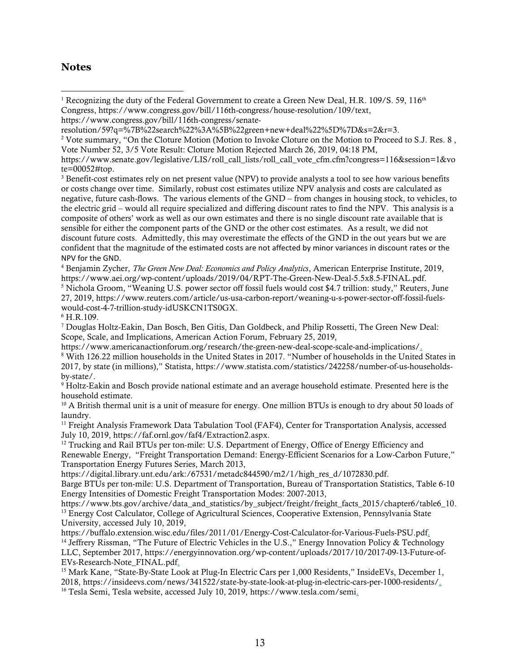#### **Notes**

<sup>3</sup> Benefit-cost estimates rely on net present value (NPV) to provide analysts a tool to see how various benefits or costs change over time. Similarly, robust cost estimates utilize NPV analysis and costs are calculated as negative, future cash-flows. The various elements of the GND – from changes in housing stock, to vehicles, to the electric grid – would all require specialized and differing discount rates to find the NPV. This analysis is a composite of others' work as well as our own estimates and there is no single discount rate available that is sensible for either the component parts of the GND or the other cost estimates. As a result, we did not discount future costs. Admittedly, this may overestimate the effects of the GND in the out years but we are confident that the magnitude of the estimated costs are not affected by minor variances in discount rates or the NPV for the GND.

<sup>4</sup> Benjamin Zycher, *The Green New Deal: Economics and Policy Analytics*, American Enterprise Institute, 2019, https://www.aei.org/wp-content/uploads/2019/04/RPT-The-Green-New-Deal-5.5x8.5-FINAL.pdf. <sup>5</sup> Nichola Groom, "Weaning U.S. power sector off fossil fuels would cost \$4.7 trillion: study," Reuters, June 27, 2019, https://www.reuters.com/article/us-usa-carbon-report/weaning-u-s-power-sector-off-fossil-fuelswould-cost-4-7-trillion-study-idUSKCN1TS0GX.

 $6$  H.R.109.

<sup>7</sup> Douglas Holtz-Eakin, Dan Bosch, Ben Gitis, Dan Goldbeck, and Philip Rossetti, The Green New Deal: Scope, Scale, and Implications, American Action Forum, February 25, 2019,

https://www.americanactionforum.org/research/the-green-new-deal-scope-scale-and-implications/.

<sup>8</sup> With 126.22 million households in the United States in 2017. "Number of households in the United States in 2017, by state (in millions)," Statista, https://www.statista.com/statistics/242258/number-of-us-householdsby-state/.

<sup>9</sup> Holtz-Eakin and Bosch provide national estimate and an average household estimate. Presented here is the household estimate.

<sup>10</sup> A British thermal unit is a unit of measure for energy. One million BTUs is enough to dry about 50 loads of laundry.

<sup>11</sup> Freight Analysis Framework Data Tabulation Tool (FAF4), Center for Transportation Analysis, accessed July 10, 2019, https://faf.ornl.gov/faf4/Extraction2.aspx.

<sup>12</sup> Trucking and Rail BTUs per ton-mile: U.S. Department of Energy, Office of Energy Efficiency and Renewable Energy, "Freight Transportation Demand: Energy-Efficient Scenarios for a Low-Carbon Future," Transportation Energy Futures Series, March 2013,

https://digital.library.unt.edu/ark:/67531/metadc844590/m2/1/high\_res\_d/1072830.pdf.

Barge BTUs per ton-mile: U.S. Department of Transportation, Bureau of Transportation Statistics, Table 6-10 Energy Intensities of Domestic Freight Transportation Modes: 2007-2013,

https://www.bts.gov/archive/data\_and\_statistics/by\_subject/freight/freight\_facts\_2015/chapter6/table6\_10. <sup>13</sup> Energy Cost Calculator, College of Agricultural Sciences, Cooperative Extension, Pennsylvania State University, accessed July 10, 2019,

https://buffalo.extension.wisc.edu/files/2011/01/Energy-Cost-Calculator-for-Various-Fuels-PSU.pdf. <sup>14</sup> Jeffrery Rissman, "The Future of Electric Vehicles in the U.S.," Energy Innovation Policy & Technology LLC, September 2017, https://energyinnovation.org/wp-content/uploads/2017/10/2017-09-13-Future-of-EVs-Research-Note\_FINAL.pdf.

<sup>15</sup> Mark Kane, "State-By-State Look at Plug-In Electric Cars per 1,000 Residents," InsideEVs, December 1, 2018, https://insideevs.com/news/341522/state-by-state-look-at-plug-in-electric-cars-per-1000-residents/. <sup>16</sup> Tesla Semi, Tesla website, accessed July 10, 2019, https://www.tesla.com/semi.

<sup>&</sup>lt;sup>1</sup> Recognizing the duty of the Federal Government to create a Green New Deal, H.R. 109/S. 59, 116<sup>th</sup> Congress, https://www.congress.gov/bill/116th-congress/house-resolution/109/text,  $\overline{\phantom{a}}$ 

https://www.congress.gov/bill/116th-congress/senate-

resolution/59?q=%7B%22search%22%3A%5B%22green+new+deal%22%5D%7D&s=2&r=3.

<sup>&</sup>lt;sup>2</sup> Vote summary, "On the Cloture Motion (Motion to Invoke Cloture on the Motion to Proceed to S.J. Res. 8, Vote Number 52, 3/5 Vote Result: Cloture Motion Rejected March 26, 2019, 04:18 PM,

https://www.senate.gov/legislative/LIS/roll\_call\_lists/roll\_call\_vote\_cfm.cfm?congress=116&session=1&vo te=00052#top.